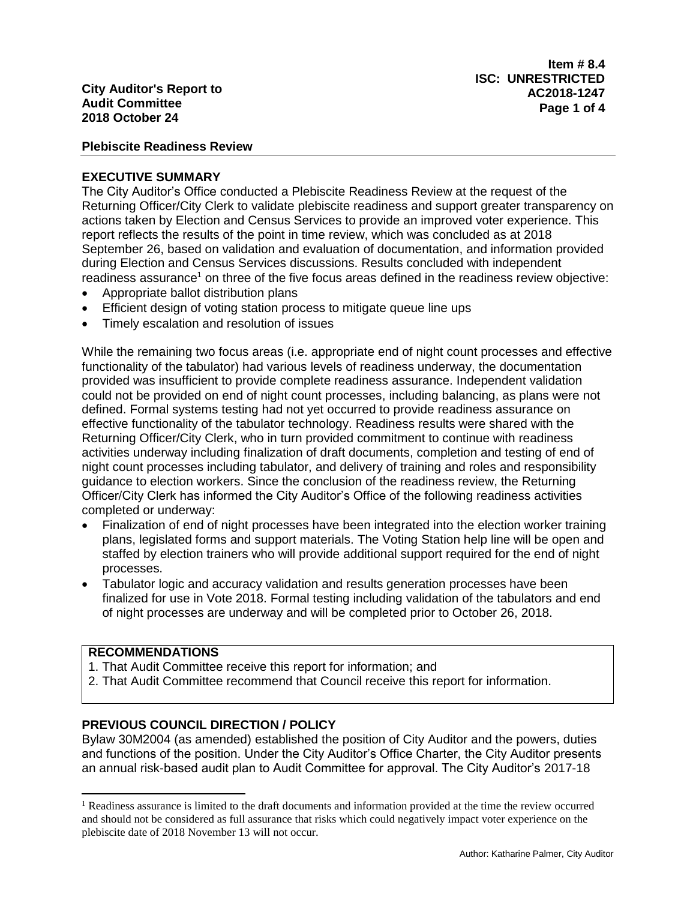#### **Plebiscite Readiness Review**

## **EXECUTIVE SUMMARY**

The City Auditor's Office conducted a Plebiscite Readiness Review at the request of the Returning Officer/City Clerk to validate plebiscite readiness and support greater transparency on actions taken by Election and Census Services to provide an improved voter experience. This report reflects the results of the point in time review, which was concluded as at 2018 September 26, based on validation and evaluation of documentation, and information provided during Election and Census Services discussions. Results concluded with independent readiness assurance<sup>1</sup> on three of the five focus areas defined in the readiness review objective:

- Appropriate ballot distribution plans
- Efficient design of voting station process to mitigate queue line ups
- Timely escalation and resolution of issues

While the remaining two focus areas (i.e. appropriate end of night count processes and effective functionality of the tabulator) had various levels of readiness underway, the documentation provided was insufficient to provide complete readiness assurance. Independent validation could not be provided on end of night count processes, including balancing, as plans were not defined. Formal systems testing had not yet occurred to provide readiness assurance on effective functionality of the tabulator technology. Readiness results were shared with the Returning Officer/City Clerk, who in turn provided commitment to continue with readiness activities underway including finalization of draft documents, completion and testing of end of night count processes including tabulator, and delivery of training and roles and responsibility guidance to election workers. Since the conclusion of the readiness review, the Returning Officer/City Clerk has informed the City Auditor's Office of the following readiness activities completed or underway:

- Finalization of end of night processes have been integrated into the election worker training plans, legislated forms and support materials. The Voting Station help line will be open and staffed by election trainers who will provide additional support required for the end of night processes.
- Tabulator logic and accuracy validation and results generation processes have been finalized for use in Vote 2018. Formal testing including validation of the tabulators and end of night processes are underway and will be completed prior to October 26, 2018.

## **RECOMMENDATIONS**

 $\overline{a}$ 

- 1. That Audit Committee receive this report for information; and
- 2. That Audit Committee recommend that Council receive this report for information.

# **PREVIOUS COUNCIL DIRECTION / POLICY**

Bylaw 30M2004 (as amended) established the position of City Auditor and the powers, duties and functions of the position. Under the City Auditor's Office Charter, the City Auditor presents an annual risk-based audit plan to Audit Committee for approval. The City Auditor's 2017-18

<sup>1</sup> Readiness assurance is limited to the draft documents and information provided at the time the review occurred and should not be considered as full assurance that risks which could negatively impact voter experience on the plebiscite date of 2018 November 13 will not occur.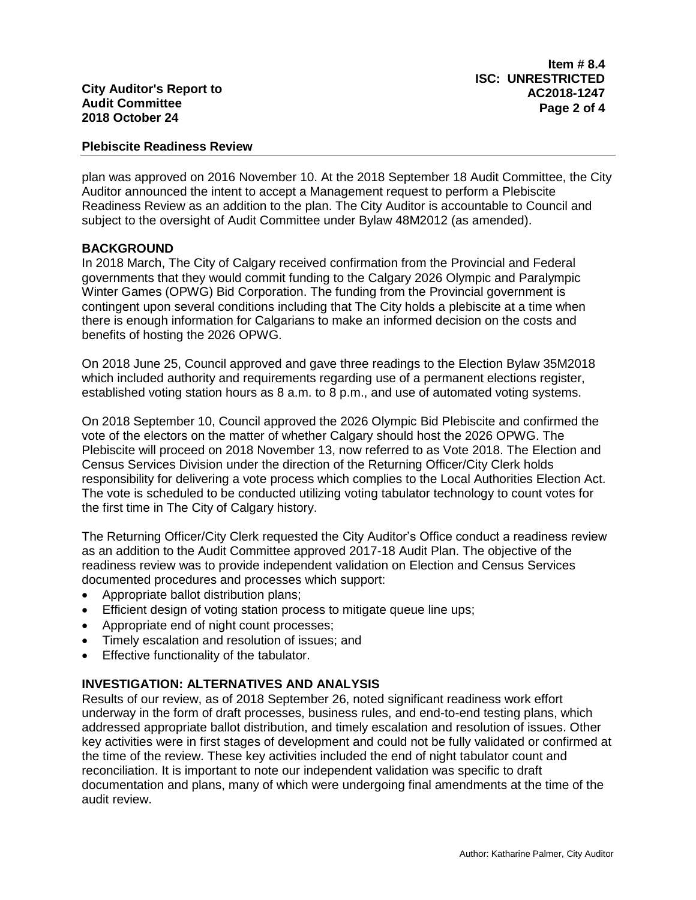#### **Plebiscite Readiness Review**

plan was approved on 2016 November 10. At the 2018 September 18 Audit Committee, the City Auditor announced the intent to accept a Management request to perform a Plebiscite Readiness Review as an addition to the plan. The City Auditor is accountable to Council and subject to the oversight of Audit Committee under Bylaw 48M2012 (as amended).

#### **BACKGROUND**

In 2018 March, The City of Calgary received confirmation from the Provincial and Federal governments that they would commit funding to the Calgary 2026 Olympic and Paralympic Winter Games (OPWG) Bid Corporation. The funding from the Provincial government is contingent upon several conditions including that The City holds a plebiscite at a time when there is enough information for Calgarians to make an informed decision on the costs and benefits of hosting the 2026 OPWG.

On 2018 June 25, Council approved and gave three readings to the Election Bylaw 35M2018 which included authority and requirements regarding use of a permanent elections register, established voting station hours as 8 a.m. to 8 p.m., and use of automated voting systems.

On 2018 September 10, Council approved the 2026 Olympic Bid Plebiscite and confirmed the vote of the electors on the matter of whether Calgary should host the 2026 OPWG. The Plebiscite will proceed on 2018 November 13, now referred to as Vote 2018. The Election and Census Services Division under the direction of the Returning Officer/City Clerk holds responsibility for delivering a vote process which complies to the Local Authorities Election Act. The vote is scheduled to be conducted utilizing voting tabulator technology to count votes for the first time in The City of Calgary history.

The Returning Officer/City Clerk requested the City Auditor's Office conduct a readiness review as an addition to the Audit Committee approved 2017-18 Audit Plan. The objective of the readiness review was to provide independent validation on Election and Census Services documented procedures and processes which support:

- Appropriate ballot distribution plans;
- Efficient design of voting station process to mitigate queue line ups;
- Appropriate end of night count processes;
- Timely escalation and resolution of issues; and
- **Effective functionality of the tabulator.**

## **INVESTIGATION: ALTERNATIVES AND ANALYSIS**

Results of our review, as of 2018 September 26, noted significant readiness work effort underway in the form of draft processes, business rules, and end-to-end testing plans, which addressed appropriate ballot distribution, and timely escalation and resolution of issues. Other key activities were in first stages of development and could not be fully validated or confirmed at the time of the review. These key activities included the end of night tabulator count and reconciliation. It is important to note our independent validation was specific to draft documentation and plans, many of which were undergoing final amendments at the time of the audit review.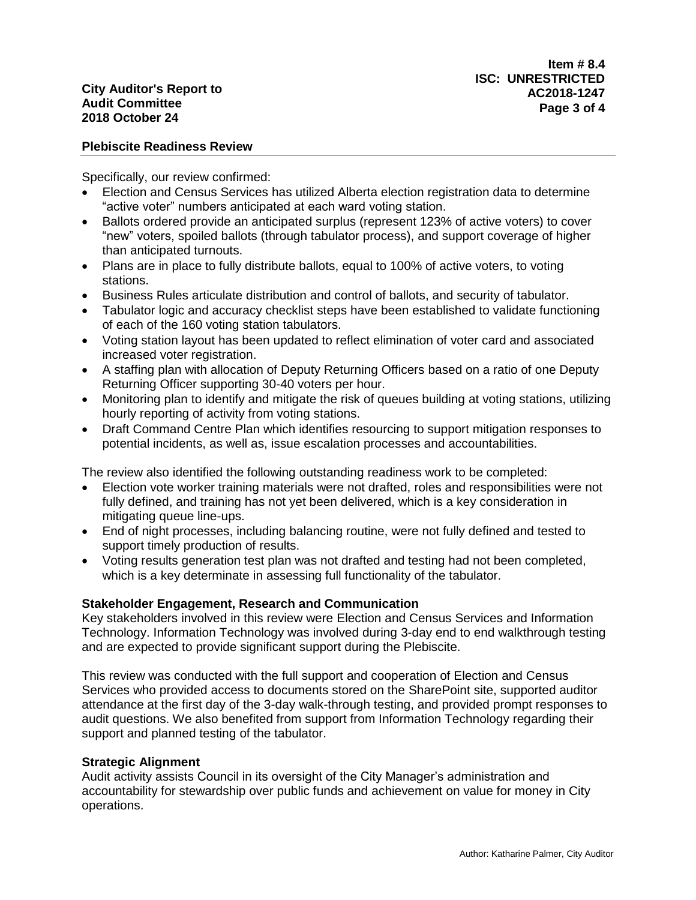## **Plebiscite Readiness Review**

Specifically, our review confirmed:

- Election and Census Services has utilized Alberta election registration data to determine "active voter" numbers anticipated at each ward voting station.
- Ballots ordered provide an anticipated surplus (represent 123% of active voters) to cover "new" voters, spoiled ballots (through tabulator process), and support coverage of higher than anticipated turnouts.
- Plans are in place to fully distribute ballots, equal to 100% of active voters, to voting stations.
- Business Rules articulate distribution and control of ballots, and security of tabulator.
- Tabulator logic and accuracy checklist steps have been established to validate functioning of each of the 160 voting station tabulators.
- Voting station layout has been updated to reflect elimination of voter card and associated increased voter registration.
- A staffing plan with allocation of Deputy Returning Officers based on a ratio of one Deputy Returning Officer supporting 30-40 voters per hour.
- Monitoring plan to identify and mitigate the risk of queues building at voting stations, utilizing hourly reporting of activity from voting stations.
- Draft Command Centre Plan which identifies resourcing to support mitigation responses to potential incidents, as well as, issue escalation processes and accountabilities.

The review also identified the following outstanding readiness work to be completed:

- Election vote worker training materials were not drafted, roles and responsibilities were not fully defined, and training has not yet been delivered, which is a key consideration in mitigating queue line-ups.
- End of night processes, including balancing routine, were not fully defined and tested to support timely production of results.
- Voting results generation test plan was not drafted and testing had not been completed, which is a key determinate in assessing full functionality of the tabulator.

## **Stakeholder Engagement, Research and Communication**

Key stakeholders involved in this review were Election and Census Services and Information Technology. Information Technology was involved during 3-day end to end walkthrough testing and are expected to provide significant support during the Plebiscite.

This review was conducted with the full support and cooperation of Election and Census Services who provided access to documents stored on the SharePoint site, supported auditor attendance at the first day of the 3-day walk-through testing, and provided prompt responses to audit questions. We also benefited from support from Information Technology regarding their support and planned testing of the tabulator.

#### **Strategic Alignment**

Audit activity assists Council in its oversight of the City Manager's administration and accountability for stewardship over public funds and achievement on value for money in City operations.